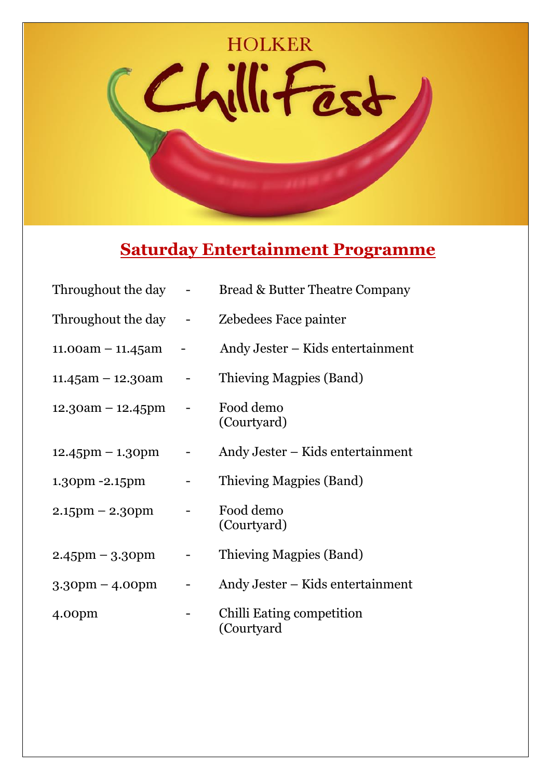

## **Saturday Entertainment Programme**

| Throughout the day    | Bread & Butter Theatre Company          |
|-----------------------|-----------------------------------------|
| Throughout the day -  | Zebedees Face painter                   |
| $11.00am - 11.45am$   | Andy Jester – Kids entertainment        |
| $11.45$ am - 12.30am  | Thieving Magpies (Band)                 |
| $12.30am - 12.45pm$   | Food demo<br>(Courtyard)                |
| $12.45$ pm $-1.30$ pm | Andy Jester – Kids entertainment        |
| 1.30pm -2.15pm        | Thieving Magpies (Band)                 |
| $2.15$ pm $- 2.3$ Opm | Food demo<br>(Courtyard)                |
| $2.45$ pm – 3.30pm    | Thieving Magpies (Band)                 |
| $3.30$ pm – 4.00pm    | Andy Jester – Kids entertainment        |
| 4.00 <sub>pm</sub>    | Chilli Eating competition<br>(Courtyard |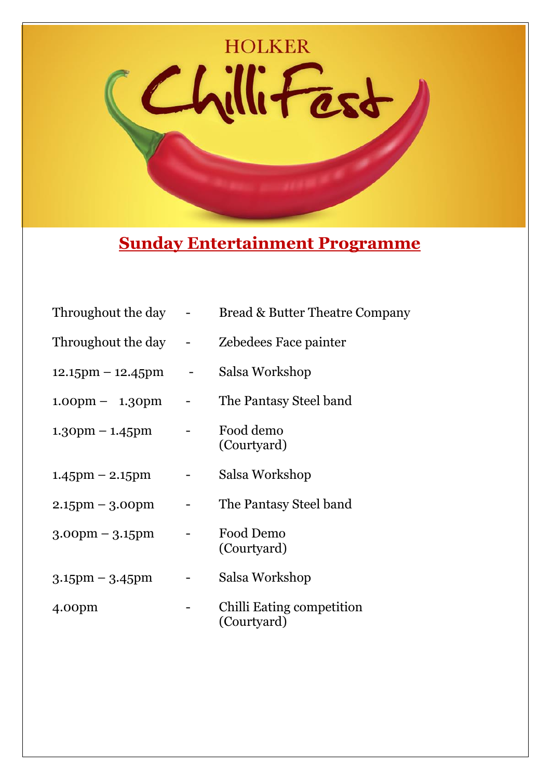

## **Sunday Entertainment Programme**

| Throughout the day                  | Bread & Butter Theatre Company           |
|-------------------------------------|------------------------------------------|
| Throughout the day                  | Zebedees Face painter                    |
| $12.15 \text{pm} - 12.45 \text{pm}$ | Salsa Workshop                           |
| $1.00 \text{pm} - 1.30 \text{pm}$   | The Pantasy Steel band                   |
| $1.30 \text{pm} - 1.45 \text{pm}$   | Food demo<br>(Courtyard)                 |
| $1.45$ pm – 2.15pm                  | Salsa Workshop                           |
| $2.15$ pm – 3.00pm                  | The Pantasy Steel band                   |
| $3.00 \text{pm} - 3.15 \text{pm}$   | Food Demo<br>(Courtyard)                 |
| $3.15$ pm – $3.45$ pm               | Salsa Workshop                           |
| 4.00 <sub>pm</sub>                  | Chilli Eating competition<br>(Courtyard) |